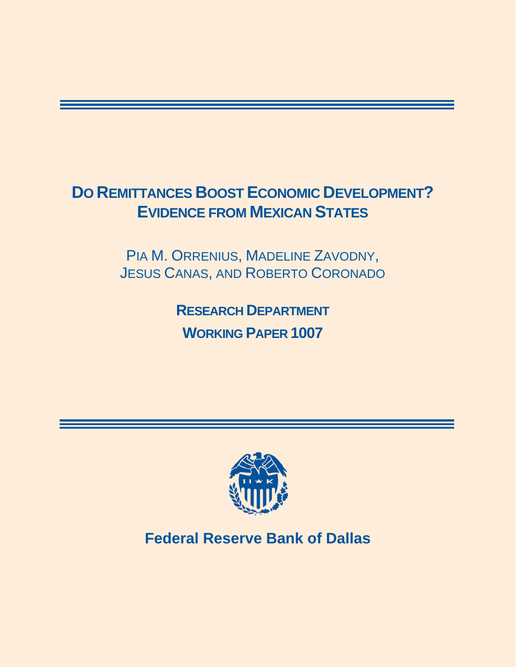# **DO REMITTANCES BOOST ECONOMIC DEVELOPMENT? EVIDENCE FROM MEXICAN STATES**

PIA M. ORRENIUS, MADELINE ZAVODNY, JESUS CANAS, AND ROBERTO CORONADO

> **RESEARCH DEPARTMENT WORKING PAPER 1007**



**Federal Reserve Bank of Dallas**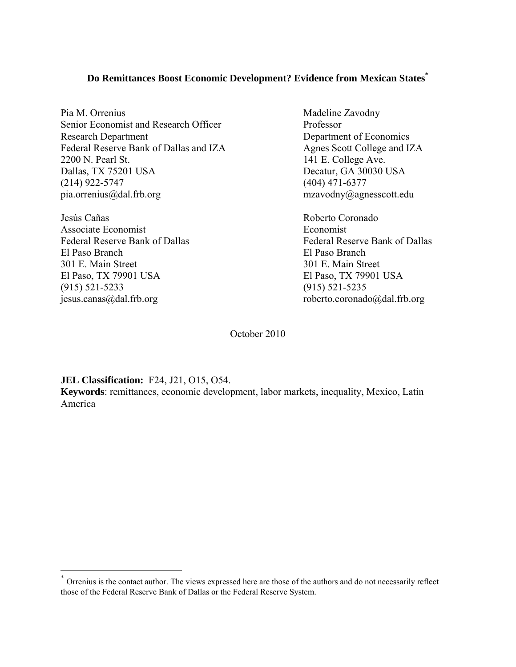## **Do Remittances Boost Economic Development? Evidence from Mexican States\***

Pia M. Orrenius Madeline Zavodny Senior Economist and Research Officer Professor Research Department Department Department of Economics Federal Reserve Bank of Dallas and IZA Agnes Scott College and IZA 2200 N. Pearl St. 141 E. College Ave. Dallas, TX 75201 USA Decatur, GA 30030 USA (214) 922-5747 (404) 471-6377 pia.orrenius@dal.frb.org mzavodny@agnesscott.edu

Jesús Cañas Roberto Coronado Associate Economist **Example 2018** Economist Federal Reserve Bank of Dallas Federal Reserve Bank of Dallas El Paso Branch El Paso Branch 301 E. Main Street 301 E. Main Street El Paso, TX 79901 USA El Paso, TX 79901 USA (915) 521-5233 (915) 521-5235 jesus.canas@dal.frb.org roberto.coronado@dal.frb.org

October 2010

**JEL Classification:** F24, J21, O15, O54.

 $\overline{a}$ 

**Keywords**: remittances, economic development, labor markets, inequality, Mexico, Latin America

Orrenius is the contact author. The views expressed here are those of the authors and do not necessarily reflect those of the Federal Reserve Bank of Dallas or the Federal Reserve System.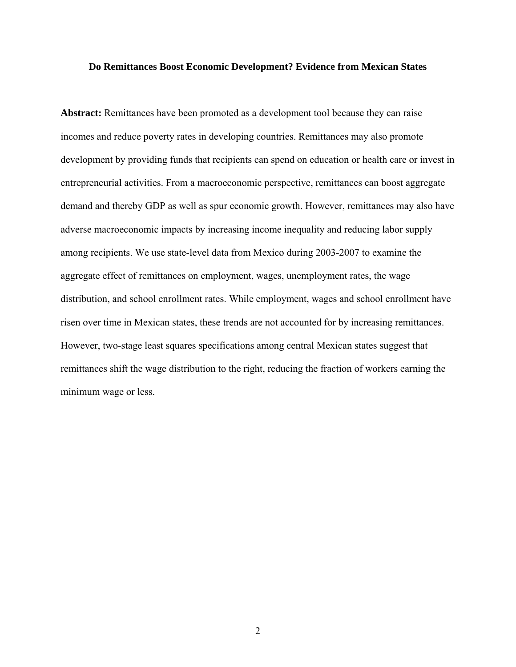#### **Do Remittances Boost Economic Development? Evidence from Mexican States**

**Abstract:** Remittances have been promoted as a development tool because they can raise incomes and reduce poverty rates in developing countries. Remittances may also promote development by providing funds that recipients can spend on education or health care or invest in entrepreneurial activities. From a macroeconomic perspective, remittances can boost aggregate demand and thereby GDP as well as spur economic growth. However, remittances may also have adverse macroeconomic impacts by increasing income inequality and reducing labor supply among recipients. We use state-level data from Mexico during 2003-2007 to examine the aggregate effect of remittances on employment, wages, unemployment rates, the wage distribution, and school enrollment rates. While employment, wages and school enrollment have risen over time in Mexican states, these trends are not accounted for by increasing remittances. However, two-stage least squares specifications among central Mexican states suggest that remittances shift the wage distribution to the right, reducing the fraction of workers earning the minimum wage or less.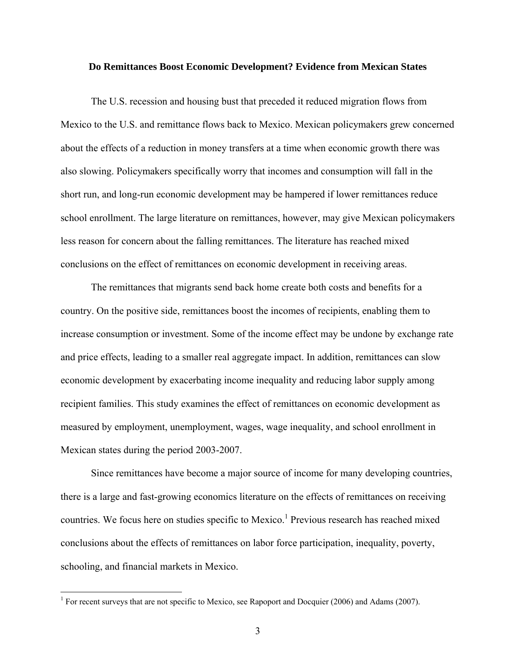#### **Do Remittances Boost Economic Development? Evidence from Mexican States**

The U.S. recession and housing bust that preceded it reduced migration flows from Mexico to the U.S. and remittance flows back to Mexico. Mexican policymakers grew concerned about the effects of a reduction in money transfers at a time when economic growth there was also slowing. Policymakers specifically worry that incomes and consumption will fall in the short run, and long-run economic development may be hampered if lower remittances reduce school enrollment. The large literature on remittances, however, may give Mexican policymakers less reason for concern about the falling remittances. The literature has reached mixed conclusions on the effect of remittances on economic development in receiving areas.

The remittances that migrants send back home create both costs and benefits for a country. On the positive side, remittances boost the incomes of recipients, enabling them to increase consumption or investment. Some of the income effect may be undone by exchange rate and price effects, leading to a smaller real aggregate impact. In addition, remittances can slow economic development by exacerbating income inequality and reducing labor supply among recipient families. This study examines the effect of remittances on economic development as measured by employment, unemployment, wages, wage inequality, and school enrollment in Mexican states during the period 2003-2007.

Since remittances have become a major source of income for many developing countries, there is a large and fast-growing economics literature on the effects of remittances on receiving countries. We focus here on studies specific to Mexico.<sup>1</sup> Previous research has reached mixed conclusions about the effects of remittances on labor force participation, inequality, poverty, schooling, and financial markets in Mexico.

<u>.</u>

<sup>&</sup>lt;sup>1</sup> For recent surveys that are not specific to Mexico, see Rapoport and Docquier (2006) and Adams (2007).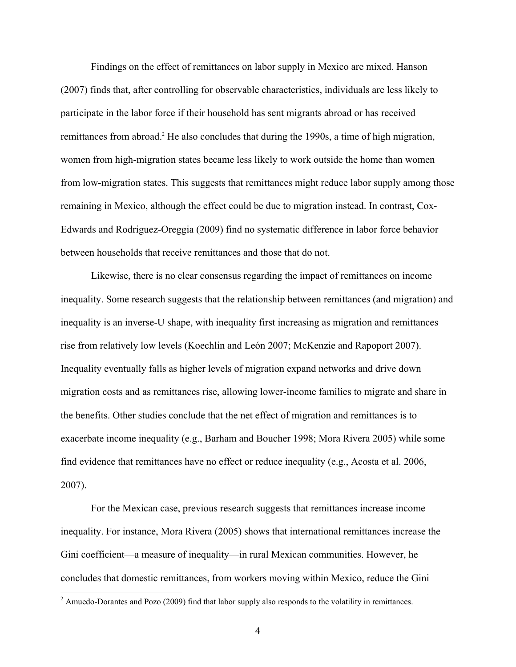Findings on the effect of remittances on labor supply in Mexico are mixed. Hanson (2007) finds that, after controlling for observable characteristics, individuals are less likely to participate in the labor force if their household has sent migrants abroad or has received remittances from abroad.<sup>2</sup> He also concludes that during the 1990s, a time of high migration, women from high-migration states became less likely to work outside the home than women from low-migration states. This suggests that remittances might reduce labor supply among those remaining in Mexico, although the effect could be due to migration instead. In contrast, Cox-Edwards and Rodriguez-Oreggia (2009) find no systematic difference in labor force behavior between households that receive remittances and those that do not.

Likewise, there is no clear consensus regarding the impact of remittances on income inequality. Some research suggests that the relationship between remittances (and migration) and inequality is an inverse-U shape, with inequality first increasing as migration and remittances rise from relatively low levels (Koechlin and León 2007; McKenzie and Rapoport 2007). Inequality eventually falls as higher levels of migration expand networks and drive down migration costs and as remittances rise, allowing lower-income families to migrate and share in the benefits. Other studies conclude that the net effect of migration and remittances is to exacerbate income inequality (e.g., Barham and Boucher 1998; Mora Rivera 2005) while some find evidence that remittances have no effect or reduce inequality (e.g., Acosta et al. 2006, 2007).

For the Mexican case, previous research suggests that remittances increase income inequality. For instance, Mora Rivera (2005) shows that international remittances increase the Gini coefficient—a measure of inequality—in rural Mexican communities. However, he concludes that domestic remittances, from workers moving within Mexico, reduce the Gini

 $\overline{a}$ 

<sup>&</sup>lt;sup>2</sup> Amuedo-Dorantes and Pozo (2009) find that labor supply also responds to the volatility in remittances.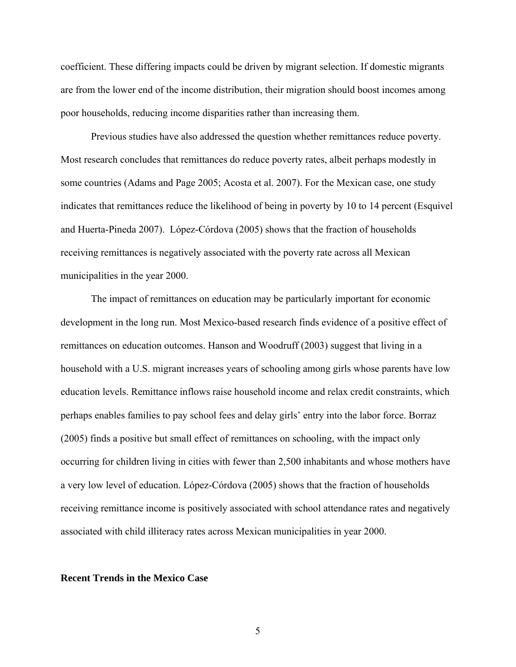coefficient. These differing impacts could be driven by migrant selection. If domestic migrants are from the lower end of the income distribution, their migration should boost incomes among poor households, reducing income disparities rather than increasing them.

Previous studies have also addressed the question whether remittances reduce poverty. Most research concludes that remittances do reduce poverty rates, albeit perhaps modestly in some countries (Adams and Page 2005; Acosta et al. 2007). For the Mexican case, one study indicates that remittances reduce the likelihood of being in poverty by 10 to 14 percent (Esquivel and Huerta-Pineda 2007). López-Córdova (2005) shows that the fraction of households receiving remittances is negatively associated with the poverty rate across all Mexican municipalities in the year 2000.

The impact of remittances on education may be particularly important for economic development in the long run. Most Mexico-based research finds evidence of a positive effect of remittances on education outcomes. Hanson and Woodruff (2003) suggest that living in a household with a U.S. migrant increases years of schooling among girls whose parents have low education levels. Remittance inflows raise household income and relax credit constraints, which perhaps enables families to pay school fees and delay girls' entry into the labor force. Borraz (2005) finds a positive but small effect of remittances on schooling, with the impact only occurring for children living in cities with fewer than 2,500 inhabitants and whose mothers have a very low level of education. López-Córdova (2005) shows that the fraction of households receiving remittance income is positively associated with school attendance rates and negatively associated with child illiteracy rates across Mexican municipalities in year 2000.

#### **Recent Trends in the Mexico Case**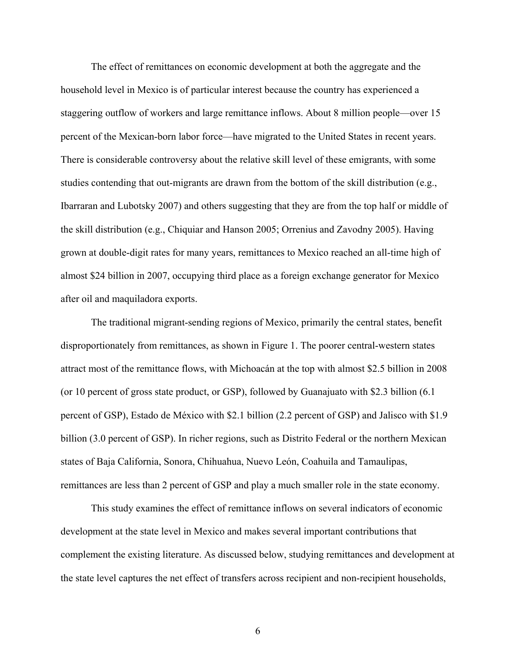The effect of remittances on economic development at both the aggregate and the household level in Mexico is of particular interest because the country has experienced a staggering outflow of workers and large remittance inflows. About 8 million people—over 15 percent of the Mexican-born labor force—have migrated to the United States in recent years. There is considerable controversy about the relative skill level of these emigrants, with some studies contending that out-migrants are drawn from the bottom of the skill distribution (e.g., Ibarraran and Lubotsky 2007) and others suggesting that they are from the top half or middle of the skill distribution (e.g., Chiquiar and Hanson 2005; Orrenius and Zavodny 2005). Having grown at double-digit rates for many years, remittances to Mexico reached an all-time high of almost \$24 billion in 2007, occupying third place as a foreign exchange generator for Mexico after oil and maquiladora exports.

The traditional migrant-sending regions of Mexico, primarily the central states, benefit disproportionately from remittances, as shown in Figure 1. The poorer central-western states attract most of the remittance flows, with Michoacán at the top with almost \$2.5 billion in 2008 (or 10 percent of gross state product, or GSP), followed by Guanajuato with \$2.3 billion (6.1 percent of GSP), Estado de México with \$2.1 billion (2.2 percent of GSP) and Jalisco with \$1.9 billion (3.0 percent of GSP). In richer regions, such as Distrito Federal or the northern Mexican states of Baja California, Sonora, Chihuahua, Nuevo León, Coahuila and Tamaulipas, remittances are less than 2 percent of GSP and play a much smaller role in the state economy.

This study examines the effect of remittance inflows on several indicators of economic development at the state level in Mexico and makes several important contributions that complement the existing literature. As discussed below, studying remittances and development at the state level captures the net effect of transfers across recipient and non-recipient households,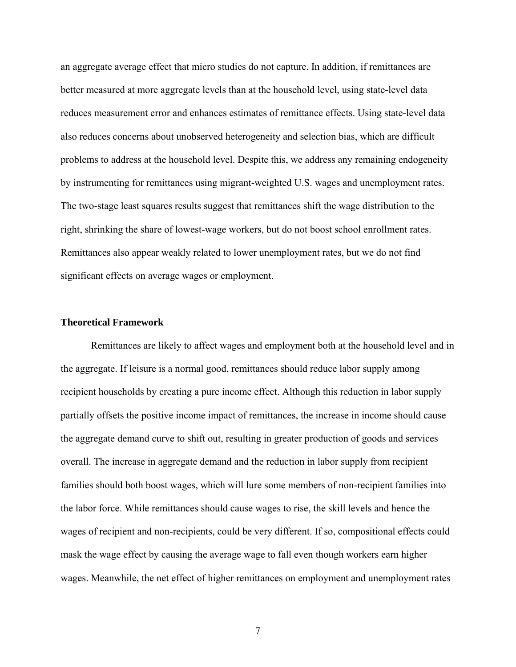an aggregate average effect that micro studies do not capture. In addition, if remittances are better measured at more aggregate levels than at the household level, using state-level data reduces measurement error and enhances estimates of remittance effects. Using state-level data also reduces concerns about unobserved heterogeneity and selection bias, which are difficult problems to address at the household level. Despite this, we address any remaining endogeneity by instrumenting for remittances using migrant-weighted U.S. wages and unemployment rates. The two-stage least squares results suggest that remittances shift the wage distribution to the right, shrinking the share of lowest-wage workers, but do not boost school enrollment rates. Remittances also appear weakly related to lower unemployment rates, but we do not find significant effects on average wages or employment.

#### **Theoretical Framework**

Remittances are likely to affect wages and employment both at the household level and in the aggregate. If leisure is a normal good, remittances should reduce labor supply among recipient households by creating a pure income effect. Although this reduction in labor supply partially offsets the positive income impact of remittances, the increase in income should cause the aggregate demand curve to shift out, resulting in greater production of goods and services overall. The increase in aggregate demand and the reduction in labor supply from recipient families should both boost wages, which will lure some members of non-recipient families into the labor force. While remittances should cause wages to rise, the skill levels and hence the wages of recipient and non-recipients, could be very different. If so, compositional effects could mask the wage effect by causing the average wage to fall even though workers earn higher wages. Meanwhile, the net effect of higher remittances on employment and unemployment rates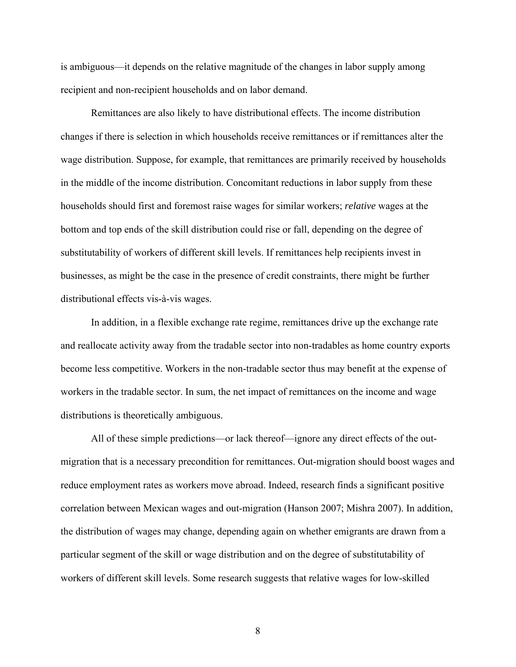is ambiguous—it depends on the relative magnitude of the changes in labor supply among recipient and non-recipient households and on labor demand.

Remittances are also likely to have distributional effects. The income distribution changes if there is selection in which households receive remittances or if remittances alter the wage distribution. Suppose, for example, that remittances are primarily received by households in the middle of the income distribution. Concomitant reductions in labor supply from these households should first and foremost raise wages for similar workers; *relative* wages at the bottom and top ends of the skill distribution could rise or fall, depending on the degree of substitutability of workers of different skill levels. If remittances help recipients invest in businesses, as might be the case in the presence of credit constraints, there might be further distributional effects vis-à-vis wages.

In addition, in a flexible exchange rate regime, remittances drive up the exchange rate and reallocate activity away from the tradable sector into non-tradables as home country exports become less competitive. Workers in the non-tradable sector thus may benefit at the expense of workers in the tradable sector. In sum, the net impact of remittances on the income and wage distributions is theoretically ambiguous.

All of these simple predictions—or lack thereof—ignore any direct effects of the outmigration that is a necessary precondition for remittances. Out-migration should boost wages and reduce employment rates as workers move abroad. Indeed, research finds a significant positive correlation between Mexican wages and out-migration (Hanson 2007; Mishra 2007). In addition, the distribution of wages may change, depending again on whether emigrants are drawn from a particular segment of the skill or wage distribution and on the degree of substitutability of workers of different skill levels. Some research suggests that relative wages for low-skilled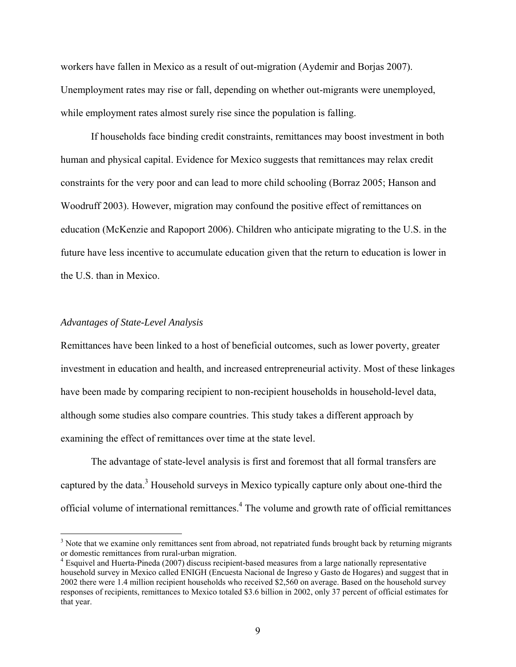workers have fallen in Mexico as a result of out-migration (Aydemir and Borjas 2007). Unemployment rates may rise or fall, depending on whether out-migrants were unemployed, while employment rates almost surely rise since the population is falling.

If households face binding credit constraints, remittances may boost investment in both human and physical capital. Evidence for Mexico suggests that remittances may relax credit constraints for the very poor and can lead to more child schooling (Borraz 2005; Hanson and Woodruff 2003). However, migration may confound the positive effect of remittances on education (McKenzie and Rapoport 2006). Children who anticipate migrating to the U.S. in the future have less incentive to accumulate education given that the return to education is lower in the U.S. than in Mexico.

## *Advantages of State-Level Analysis*

 $\overline{a}$ 

Remittances have been linked to a host of beneficial outcomes, such as lower poverty, greater investment in education and health, and increased entrepreneurial activity. Most of these linkages have been made by comparing recipient to non-recipient households in household-level data, although some studies also compare countries. This study takes a different approach by examining the effect of remittances over time at the state level.

The advantage of state-level analysis is first and foremost that all formal transfers are captured by the data.<sup>3</sup> Household surveys in Mexico typically capture only about one-third the official volume of international remittances.<sup>4</sup> The volume and growth rate of official remittances

 $3$  Note that we examine only remittances sent from abroad, not repatriated funds brought back by returning migrants or domestic remittances from rural-urban migration.

<sup>&</sup>lt;sup>4</sup> Esquivel and Huerta-Pineda (2007) discuss recipient-based measures from a large nationally representative household survey in Mexico called ENIGH (Encuesta Nacional de Ingreso y Gasto de Hogares) and suggest that in 2002 there were 1.4 million recipient households who received \$2,560 on average. Based on the household survey responses of recipients, remittances to Mexico totaled \$3.6 billion in 2002, only 37 percent of official estimates for that year.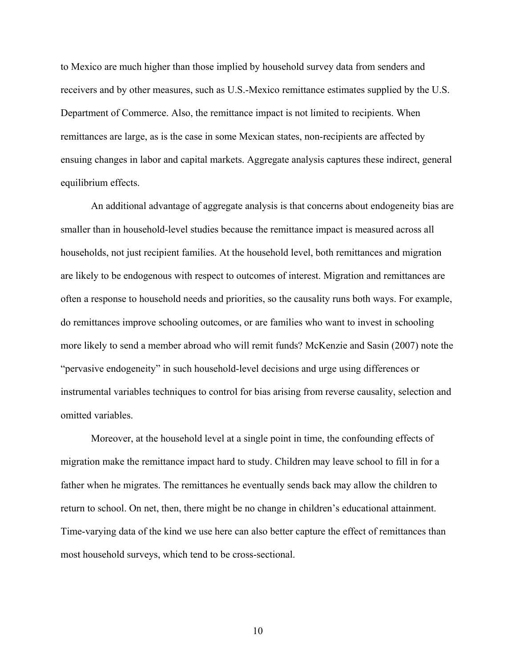to Mexico are much higher than those implied by household survey data from senders and receivers and by other measures, such as U.S.-Mexico remittance estimates supplied by the U.S. Department of Commerce. Also, the remittance impact is not limited to recipients. When remittances are large, as is the case in some Mexican states, non-recipients are affected by ensuing changes in labor and capital markets. Aggregate analysis captures these indirect, general equilibrium effects.

An additional advantage of aggregate analysis is that concerns about endogeneity bias are smaller than in household-level studies because the remittance impact is measured across all households, not just recipient families. At the household level, both remittances and migration are likely to be endogenous with respect to outcomes of interest. Migration and remittances are often a response to household needs and priorities, so the causality runs both ways. For example, do remittances improve schooling outcomes, or are families who want to invest in schooling more likely to send a member abroad who will remit funds? McKenzie and Sasin (2007) note the "pervasive endogeneity" in such household-level decisions and urge using differences or instrumental variables techniques to control for bias arising from reverse causality, selection and omitted variables.

Moreover, at the household level at a single point in time, the confounding effects of migration make the remittance impact hard to study. Children may leave school to fill in for a father when he migrates. The remittances he eventually sends back may allow the children to return to school. On net, then, there might be no change in children's educational attainment. Time-varying data of the kind we use here can also better capture the effect of remittances than most household surveys, which tend to be cross-sectional.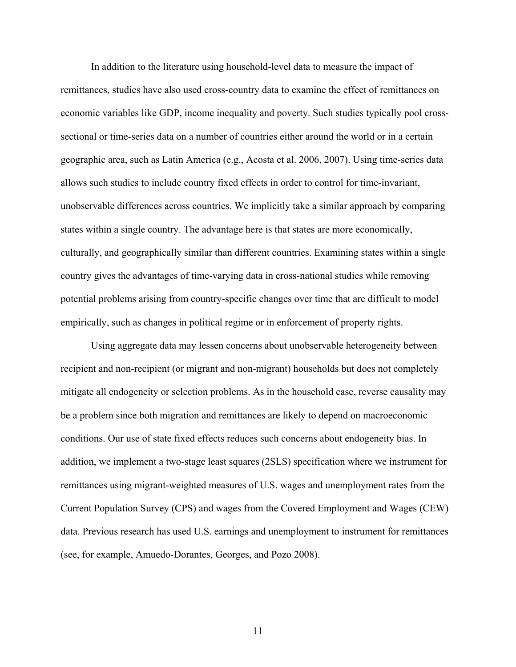In addition to the literature using household-level data to measure the impact of remittances, studies have also used cross-country data to examine the effect of remittances on economic variables like GDP, income inequality and poverty. Such studies typically pool crosssectional or time-series data on a number of countries either around the world or in a certain geographic area, such as Latin America (e.g., Acosta et al. 2006, 2007). Using time-series data allows such studies to include country fixed effects in order to control for time-invariant, unobservable differences across countries. We implicitly take a similar approach by comparing states within a single country. The advantage here is that states are more economically, culturally, and geographically similar than different countries. Examining states within a single country gives the advantages of time-varying data in cross-national studies while removing potential problems arising from country-specific changes over time that are difficult to model empirically, such as changes in political regime or in enforcement of property rights.

Using aggregate data may lessen concerns about unobservable heterogeneity between recipient and non-recipient (or migrant and non-migrant) households but does not completely mitigate all endogeneity or selection problems. As in the household case, reverse causality may be a problem since both migration and remittances are likely to depend on macroeconomic conditions. Our use of state fixed effects reduces such concerns about endogeneity bias. In addition, we implement a two-stage least squares (2SLS) specification where we instrument for remittances using migrant-weighted measures of U.S. wages and unemployment rates from the Current Population Survey (CPS) and wages from the Covered Employment and Wages (CEW) data. Previous research has used U.S. earnings and unemployment to instrument for remittances (see, for example, Amuedo-Dorantes, Georges, and Pozo 2008).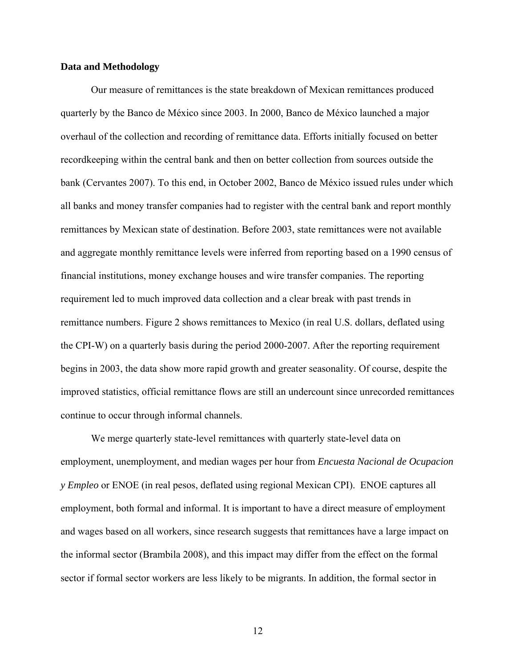#### **Data and Methodology**

Our measure of remittances is the state breakdown of Mexican remittances produced quarterly by the Banco de México since 2003. In 2000, Banco de México launched a major overhaul of the collection and recording of remittance data. Efforts initially focused on better recordkeeping within the central bank and then on better collection from sources outside the bank (Cervantes 2007). To this end, in October 2002, Banco de México issued rules under which all banks and money transfer companies had to register with the central bank and report monthly remittances by Mexican state of destination. Before 2003, state remittances were not available and aggregate monthly remittance levels were inferred from reporting based on a 1990 census of financial institutions, money exchange houses and wire transfer companies. The reporting requirement led to much improved data collection and a clear break with past trends in remittance numbers. Figure 2 shows remittances to Mexico (in real U.S. dollars, deflated using the CPI-W) on a quarterly basis during the period 2000-2007. After the reporting requirement begins in 2003, the data show more rapid growth and greater seasonality. Of course, despite the improved statistics, official remittance flows are still an undercount since unrecorded remittances continue to occur through informal channels.

We merge quarterly state-level remittances with quarterly state-level data on employment, unemployment, and median wages per hour from *Encuesta Nacional de Ocupacion y Empleo* or ENOE (in real pesos, deflated using regional Mexican CPI). ENOE captures all employment, both formal and informal. It is important to have a direct measure of employment and wages based on all workers, since research suggests that remittances have a large impact on the informal sector (Brambila 2008), and this impact may differ from the effect on the formal sector if formal sector workers are less likely to be migrants. In addition, the formal sector in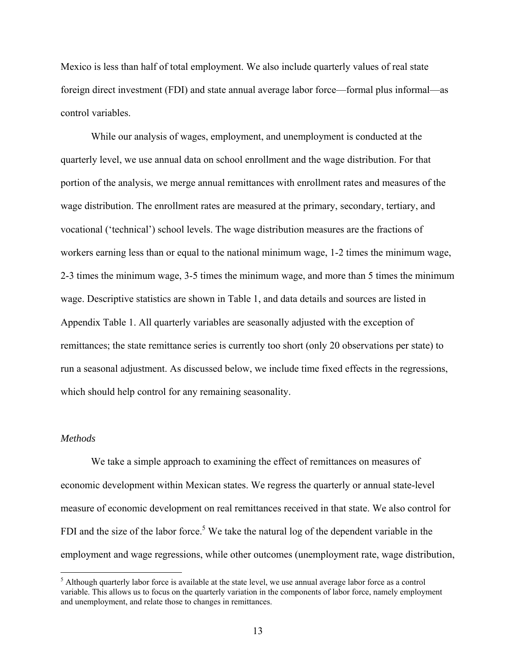Mexico is less than half of total employment. We also include quarterly values of real state foreign direct investment (FDI) and state annual average labor force—formal plus informal—as control variables.

While our analysis of wages, employment, and unemployment is conducted at the quarterly level, we use annual data on school enrollment and the wage distribution. For that portion of the analysis, we merge annual remittances with enrollment rates and measures of the wage distribution. The enrollment rates are measured at the primary, secondary, tertiary, and vocational ('technical') school levels. The wage distribution measures are the fractions of workers earning less than or equal to the national minimum wage, 1-2 times the minimum wage, 2-3 times the minimum wage, 3-5 times the minimum wage, and more than 5 times the minimum wage. Descriptive statistics are shown in Table 1, and data details and sources are listed in Appendix Table 1. All quarterly variables are seasonally adjusted with the exception of remittances; the state remittance series is currently too short (only 20 observations per state) to run a seasonal adjustment. As discussed below, we include time fixed effects in the regressions, which should help control for any remaining seasonality.

#### *Methods*

1

We take a simple approach to examining the effect of remittances on measures of economic development within Mexican states. We regress the quarterly or annual state-level measure of economic development on real remittances received in that state. We also control for FDI and the size of the labor force.<sup>5</sup> We take the natural log of the dependent variable in the employment and wage regressions, while other outcomes (unemployment rate, wage distribution,

<sup>&</sup>lt;sup>5</sup> Although quarterly labor force is available at the state level, we use annual average labor force as a control variable. This allows us to focus on the quarterly variation in the components of labor force, namely employment and unemployment, and relate those to changes in remittances.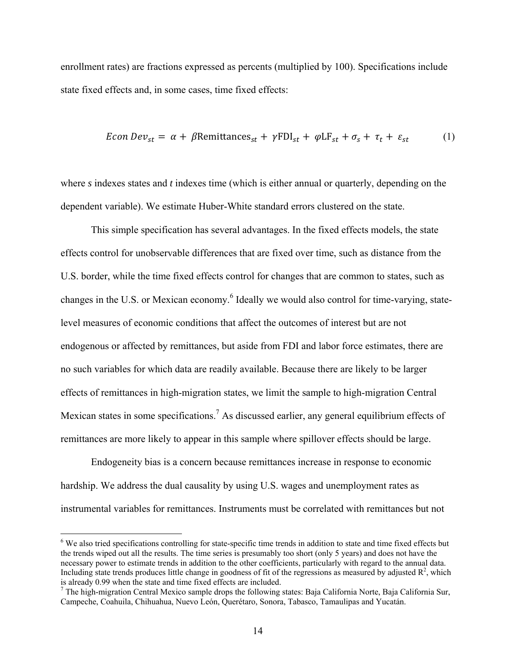enrollment rates) are fractions expressed as percents (multiplied by 100). Specifications include state fixed effects and, in some cases, time fixed effects:

$$
Econ Dev_{st} = \alpha + \beta \text{Remittances}_{st} + \gamma \text{FDI}_{st} + \varphi \text{LF}_{st} + \sigma_s + \tau_t + \varepsilon_{st} \tag{1}
$$

where *s* indexes states and *t* indexes time (which is either annual or quarterly, depending on the dependent variable). We estimate Huber-White standard errors clustered on the state.

This simple specification has several advantages. In the fixed effects models, the state effects control for unobservable differences that are fixed over time, such as distance from the U.S. border, while the time fixed effects control for changes that are common to states, such as changes in the U.S. or Mexican economy.<sup>6</sup> Ideally we would also control for time-varying, statelevel measures of economic conditions that affect the outcomes of interest but are not endogenous or affected by remittances, but aside from FDI and labor force estimates, there are no such variables for which data are readily available. Because there are likely to be larger effects of remittances in high-migration states, we limit the sample to high-migration Central Mexican states in some specifications.<sup>7</sup> As discussed earlier, any general equilibrium effects of remittances are more likely to appear in this sample where spillover effects should be large.

Endogeneity bias is a concern because remittances increase in response to economic hardship. We address the dual causality by using U.S. wages and unemployment rates as instrumental variables for remittances. Instruments must be correlated with remittances but not

<u>.</u>

<sup>&</sup>lt;sup>6</sup> We also tried specifications controlling for state-specific time trends in addition to state and time fixed effects but the trends wiped out all the results. The time series is presumably too short (only 5 years) and does not have the necessary power to estimate trends in addition to the other coefficients, particularly with regard to the annual data. Including state trends produces little change in goodness of fit of the regressions as measured by adjusted  $\mathbb{R}^2$ , which is already 0.99 when the state and time fixed effects are included. 7

 $7$  The high-migration Central Mexico sample drops the following states: Baja California Norte, Baja California Sur, Campeche, Coahuila, Chihuahua, Nuevo León, Querétaro, Sonora, Tabasco, Tamaulipas and Yucatán.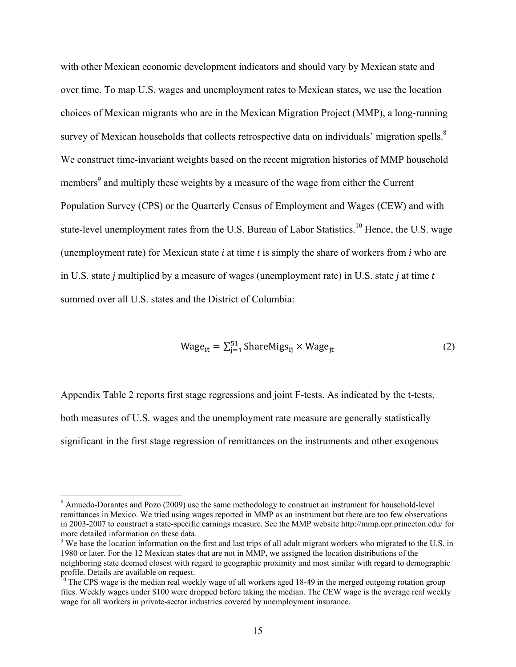with other Mexican economic development indicators and should vary by Mexican state and over time. To map U.S. wages and unemployment rates to Mexican states, we use the location choices of Mexican migrants who are in the Mexican Migration Project (MMP), a long-running survey of Mexican households that collects retrospective data on individuals' migration spells.<sup>8</sup> We construct time-invariant weights based on the recent migration histories of MMP household members<sup>9</sup> and multiply these weights by a measure of the wage from either the Current Population Survey (CPS) or the Quarterly Census of Employment and Wages (CEW) and with state-level unemployment rates from the U.S. Bureau of Labor Statistics.<sup>10</sup> Hence, the U.S. wage (unemployment rate) for Mexican state *i* at time *t* is simply the share of workers from *i* who are in U.S. state *j* multiplied by a measure of wages (unemployment rate) in U.S. state *j* at time *t* summed over all U.S. states and the District of Columbia:

$$
Wage_{it} = \sum_{j=1}^{51} \text{ShareMigs}_{ij} \times Wage_{jt} \tag{2}
$$

Appendix Table 2 reports first stage regressions and joint F-tests. As indicated by the t-tests, both measures of U.S. wages and the unemployment rate measure are generally statistically significant in the first stage regression of remittances on the instruments and other exogenous

 $\overline{a}$ 

<sup>&</sup>lt;sup>8</sup> Amuedo-Dorantes and Pozo (2009) use the same methodology to construct an instrument for household-level remittances in Mexico. We tried using wages reported in MMP as an instrument but there are too few observations in 2003-2007 to construct a state-specific earnings measure. See the MMP website http://mmp.opr.princeton.edu/ for more detailed information on these data.

 $9$  We base the location information on the first and last trips of all adult migrant workers who migrated to the U.S. in 1980 or later. For the 12 Mexican states that are not in MMP, we assigned the location distributions of the neighboring state deemed closest with regard to geographic proximity and most similar with regard to demographic profile. Details are available on request.

<sup>&</sup>lt;sup>10</sup> The CPS wage is the median real weekly wage of all workers aged 18-49 in the merged outgoing rotation group files. Weekly wages under \$100 were dropped before taking the median. The CEW wage is the average real weekly wage for all workers in private-sector industries covered by unemployment insurance.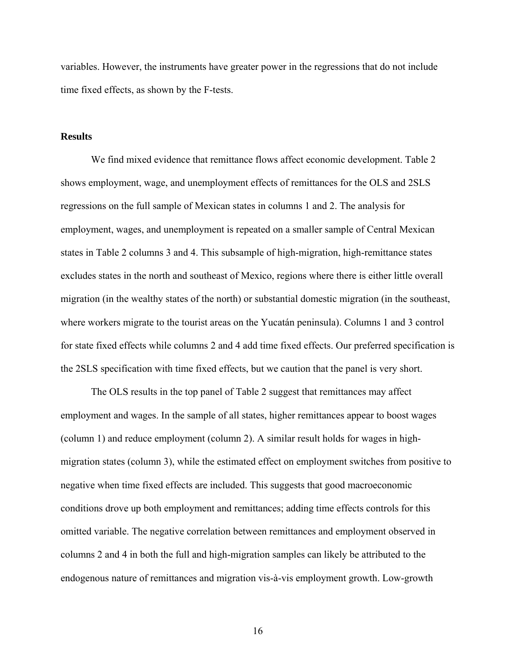variables. However, the instruments have greater power in the regressions that do not include time fixed effects, as shown by the F-tests.

#### **Results**

We find mixed evidence that remittance flows affect economic development. Table 2 shows employment, wage, and unemployment effects of remittances for the OLS and 2SLS regressions on the full sample of Mexican states in columns 1 and 2. The analysis for employment, wages, and unemployment is repeated on a smaller sample of Central Mexican states in Table 2 columns 3 and 4. This subsample of high-migration, high-remittance states excludes states in the north and southeast of Mexico, regions where there is either little overall migration (in the wealthy states of the north) or substantial domestic migration (in the southeast, where workers migrate to the tourist areas on the Yucatán peninsula). Columns 1 and 3 control for state fixed effects while columns 2 and 4 add time fixed effects. Our preferred specification is the 2SLS specification with time fixed effects, but we caution that the panel is very short.

The OLS results in the top panel of Table 2 suggest that remittances may affect employment and wages. In the sample of all states, higher remittances appear to boost wages (column 1) and reduce employment (column 2). A similar result holds for wages in highmigration states (column 3), while the estimated effect on employment switches from positive to negative when time fixed effects are included. This suggests that good macroeconomic conditions drove up both employment and remittances; adding time effects controls for this omitted variable. The negative correlation between remittances and employment observed in columns 2 and 4 in both the full and high-migration samples can likely be attributed to the endogenous nature of remittances and migration vis-à-vis employment growth. Low-growth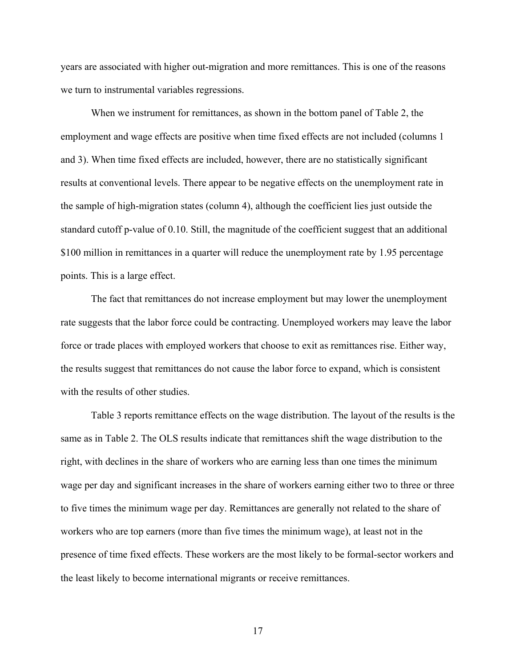years are associated with higher out-migration and more remittances. This is one of the reasons we turn to instrumental variables regressions.

When we instrument for remittances, as shown in the bottom panel of Table 2, the employment and wage effects are positive when time fixed effects are not included (columns 1 and 3). When time fixed effects are included, however, there are no statistically significant results at conventional levels. There appear to be negative effects on the unemployment rate in the sample of high-migration states (column 4), although the coefficient lies just outside the standard cutoff p-value of 0.10. Still, the magnitude of the coefficient suggest that an additional \$100 million in remittances in a quarter will reduce the unemployment rate by 1.95 percentage points. This is a large effect.

The fact that remittances do not increase employment but may lower the unemployment rate suggests that the labor force could be contracting. Unemployed workers may leave the labor force or trade places with employed workers that choose to exit as remittances rise. Either way, the results suggest that remittances do not cause the labor force to expand, which is consistent with the results of other studies.

Table 3 reports remittance effects on the wage distribution. The layout of the results is the same as in Table 2. The OLS results indicate that remittances shift the wage distribution to the right, with declines in the share of workers who are earning less than one times the minimum wage per day and significant increases in the share of workers earning either two to three or three to five times the minimum wage per day. Remittances are generally not related to the share of workers who are top earners (more than five times the minimum wage), at least not in the presence of time fixed effects. These workers are the most likely to be formal-sector workers and the least likely to become international migrants or receive remittances.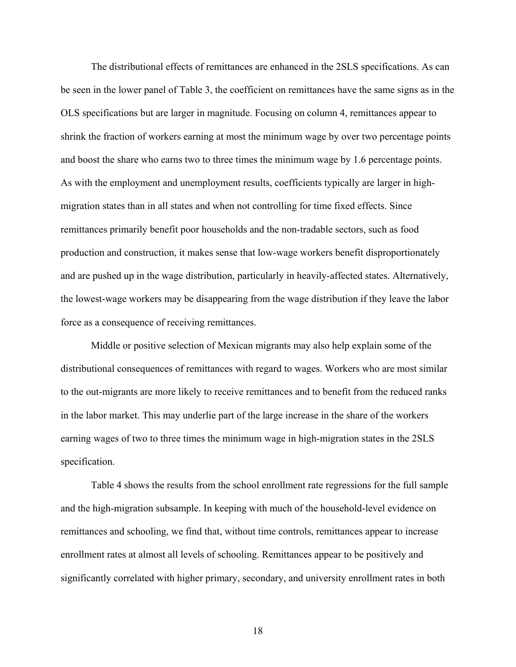The distributional effects of remittances are enhanced in the 2SLS specifications. As can be seen in the lower panel of Table 3, the coefficient on remittances have the same signs as in the OLS specifications but are larger in magnitude. Focusing on column 4, remittances appear to shrink the fraction of workers earning at most the minimum wage by over two percentage points and boost the share who earns two to three times the minimum wage by 1.6 percentage points. As with the employment and unemployment results, coefficients typically are larger in highmigration states than in all states and when not controlling for time fixed effects. Since remittances primarily benefit poor households and the non-tradable sectors, such as food production and construction, it makes sense that low-wage workers benefit disproportionately and are pushed up in the wage distribution, particularly in heavily-affected states. Alternatively, the lowest-wage workers may be disappearing from the wage distribution if they leave the labor force as a consequence of receiving remittances.

Middle or positive selection of Mexican migrants may also help explain some of the distributional consequences of remittances with regard to wages. Workers who are most similar to the out-migrants are more likely to receive remittances and to benefit from the reduced ranks in the labor market. This may underlie part of the large increase in the share of the workers earning wages of two to three times the minimum wage in high-migration states in the 2SLS specification.

Table 4 shows the results from the school enrollment rate regressions for the full sample and the high-migration subsample. In keeping with much of the household-level evidence on remittances and schooling, we find that, without time controls, remittances appear to increase enrollment rates at almost all levels of schooling. Remittances appear to be positively and significantly correlated with higher primary, secondary, and university enrollment rates in both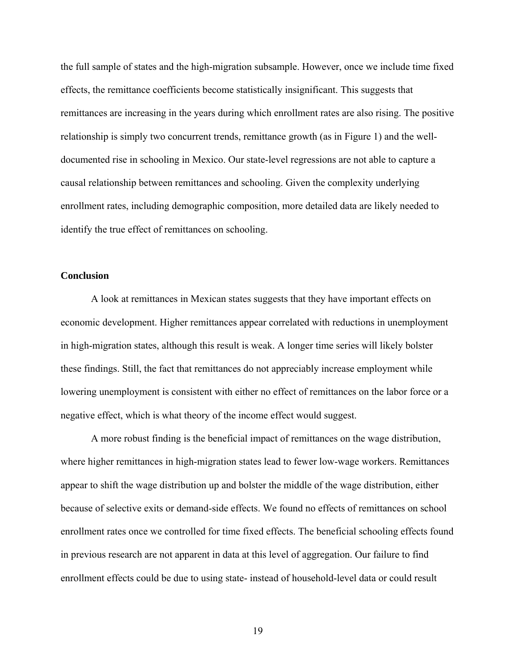the full sample of states and the high-migration subsample. However, once we include time fixed effects, the remittance coefficients become statistically insignificant. This suggests that remittances are increasing in the years during which enrollment rates are also rising. The positive relationship is simply two concurrent trends, remittance growth (as in Figure 1) and the welldocumented rise in schooling in Mexico. Our state-level regressions are not able to capture a causal relationship between remittances and schooling. Given the complexity underlying enrollment rates, including demographic composition, more detailed data are likely needed to identify the true effect of remittances on schooling.

#### **Conclusion**

A look at remittances in Mexican states suggests that they have important effects on economic development. Higher remittances appear correlated with reductions in unemployment in high-migration states, although this result is weak. A longer time series will likely bolster these findings. Still, the fact that remittances do not appreciably increase employment while lowering unemployment is consistent with either no effect of remittances on the labor force or a negative effect, which is what theory of the income effect would suggest.

A more robust finding is the beneficial impact of remittances on the wage distribution, where higher remittances in high-migration states lead to fewer low-wage workers. Remittances appear to shift the wage distribution up and bolster the middle of the wage distribution, either because of selective exits or demand-side effects. We found no effects of remittances on school enrollment rates once we controlled for time fixed effects. The beneficial schooling effects found in previous research are not apparent in data at this level of aggregation. Our failure to find enrollment effects could be due to using state- instead of household-level data or could result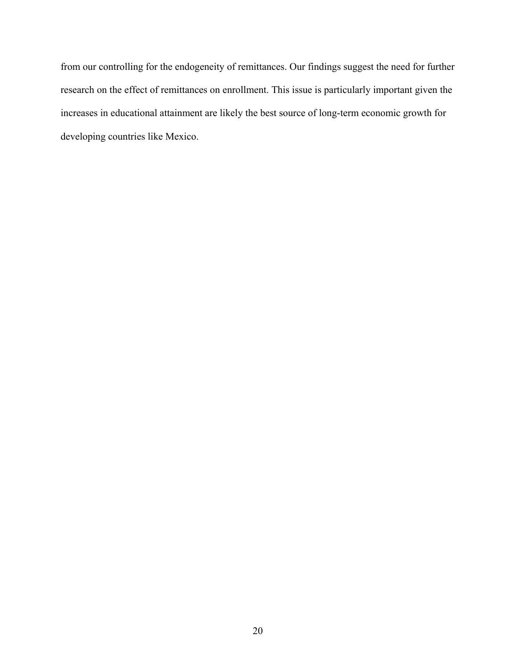from our controlling for the endogeneity of remittances. Our findings suggest the need for further research on the effect of remittances on enrollment. This issue is particularly important given the increases in educational attainment are likely the best source of long-term economic growth for developing countries like Mexico.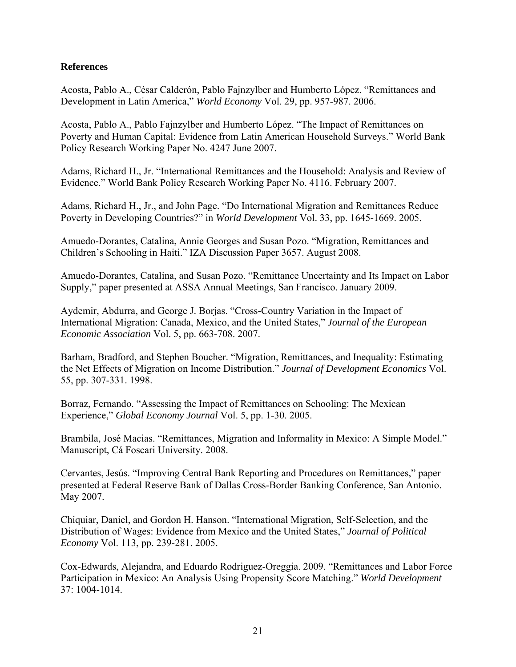## **References**

Acosta, Pablo A., César Calderón, Pablo Fajnzylber and Humberto López. "Remittances and Development in Latin America," *World Economy* Vol. 29, pp. 957-987. 2006.

Acosta, Pablo A., Pablo Fajnzylber and Humberto López. "The Impact of Remittances on Poverty and Human Capital: Evidence from Latin American Household Surveys." World Bank Policy Research Working Paper No. 4247 June 2007.

Adams, Richard H., Jr. "International Remittances and the Household: Analysis and Review of Evidence." World Bank Policy Research Working Paper No. 4116. February 2007.

Adams, Richard H., Jr., and John Page. "Do International Migration and Remittances Reduce Poverty in Developing Countries?" in *World Development* Vol. 33, pp. 1645-1669. 2005.

Amuedo-Dorantes, Catalina, Annie Georges and Susan Pozo. "Migration, Remittances and Children's Schooling in Haiti." IZA Discussion Paper 3657. August 2008.

Amuedo-Dorantes, Catalina, and Susan Pozo. "Remittance Uncertainty and Its Impact on Labor Supply," paper presented at ASSA Annual Meetings, San Francisco. January 2009.

Aydemir, Abdurra, and George J. Borjas. "Cross-Country Variation in the Impact of International Migration: Canada, Mexico, and the United States," *Journal of the European Economic Association* Vol. 5, pp. 663-708. 2007.

Barham, Bradford, and Stephen Boucher. "Migration, Remittances, and Inequality: Estimating the Net Effects of Migration on Income Distribution." *Journal of Development Economics* Vol. 55, pp. 307-331. 1998.

Borraz, Fernando. "Assessing the Impact of Remittances on Schooling: The Mexican Experience," *Global Economy Journal* Vol. 5, pp. 1-30. 2005.

Brambila, José Macias. "Remittances, Migration and Informality in Mexico: A Simple Model." Manuscript, Cá Foscari University. 2008.

Cervantes, Jesús. "Improving Central Bank Reporting and Procedures on Remittances," paper presented at Federal Reserve Bank of Dallas Cross-Border Banking Conference, San Antonio. May 2007.

Chiquiar, Daniel, and Gordon H. Hanson. "International Migration, Self-Selection, and the Distribution of Wages: Evidence from Mexico and the United States," *Journal of Political Economy* Vol. 113, pp. 239-281. 2005.

Cox-Edwards, Alejandra, and Eduardo Rodriguez-Oreggia. 2009. "Remittances and Labor Force Participation in Mexico: An Analysis Using Propensity Score Matching." *World Development* 37: 1004-1014.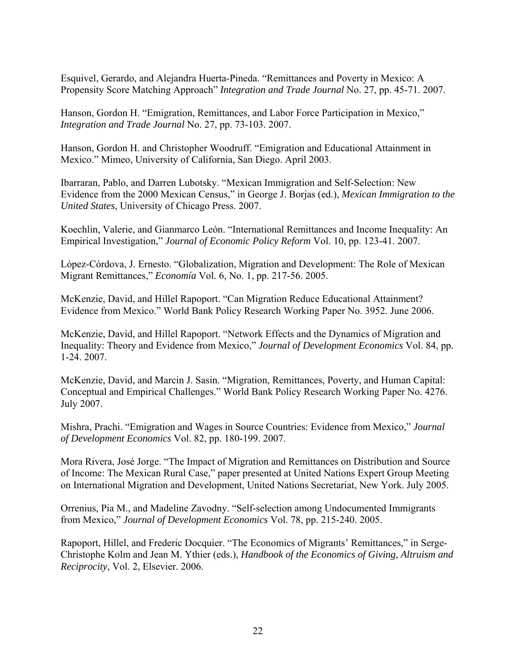Esquivel, Gerardo, and Alejandra Huerta-Pineda. "Remittances and Poverty in Mexico: A Propensity Score Matching Approach" *Integration and Trade Journal* No. 27, pp. 45-71. 2007.

Hanson, Gordon H. "Emigration, Remittances, and Labor Force Participation in Mexico," *Integration and Trade Journal* No. 27, pp. 73-103. 2007.

Hanson, Gordon H. and Christopher Woodruff. "Emigration and Educational Attainment in Mexico." Mimeo, University of California, San Diego. April 2003.

Ibarraran, Pablo, and Darren Lubotsky. "Mexican Immigration and Self-Selection: New Evidence from the 2000 Mexican Census," in George J. Borjas (ed.), *Mexican Immigration to the United States*, University of Chicago Press. 2007.

Koechlin, Valerie, and Gianmarco León. "International Remittances and Income Inequality: An Empirical Investigation," *Journal of Economic Policy Reform* Vol. 10, pp. 123-41. 2007.

López-Córdova, J. Ernesto. "Globalization, Migration and Development: The Role of Mexican Migrant Remittances," *Economía* Vol. 6, No. 1, pp. 217-56. 2005.

McKenzie, David, and Hillel Rapoport. "Can Migration Reduce Educational Attainment? Evidence from Mexico." World Bank Policy Research Working Paper No. 3952. June 2006.

McKenzie, David, and Hillel Rapoport. "Network Effects and the Dynamics of Migration and Inequality: Theory and Evidence from Mexico," *Journal of Development Economics* Vol. 84, pp. 1-24. 2007.

McKenzie, David, and Marcin J. Sasin. "Migration, Remittances, Poverty, and Human Capital: Conceptual and Empirical Challenges." World Bank Policy Research Working Paper No. 4276. July 2007.

Mishra, Prachi. "Emigration and Wages in Source Countries: Evidence from Mexico," *Journal of Development Economics* Vol. 82, pp. 180-199. 2007.

Mora Rivera, José Jorge. "The Impact of Migration and Remittances on Distribution and Source of Income: The Mexican Rural Case," paper presented at United Nations Expert Group Meeting on International Migration and Development, United Nations Secretariat, New York. July 2005.

Orrenius, Pia M., and Madeline Zavodny. "Self-selection among Undocumented Immigrants from Mexico," *Journal of Development Economics* Vol. 78, pp. 215-240. 2005.

Rapoport, Hillel, and Frederic Docquier. "The Economics of Migrants' Remittances," in Serge-Christophe Kolm and Jean M. Ythier (eds.), *Handbook of the Economics of Giving, Altruism and Reciprocity*, Vol. 2, Elsevier. 2006.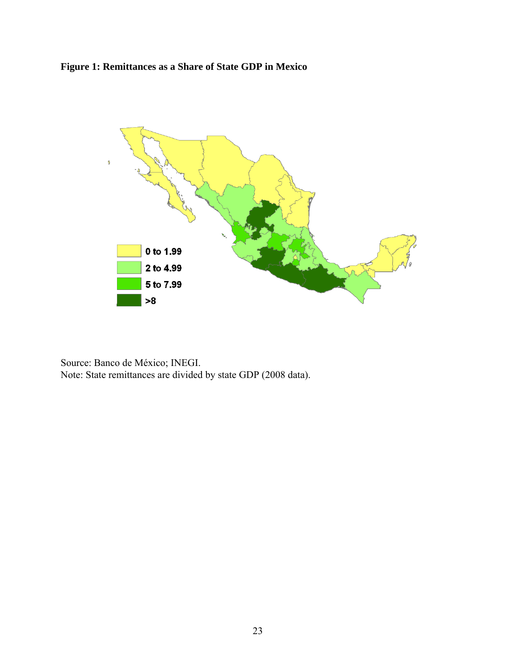# **Figure 1: Remittances as a Share of State GDP in Mexico**



Source: Banco de México; INEGI. Note: State remittances are divided by state GDP (2008 data).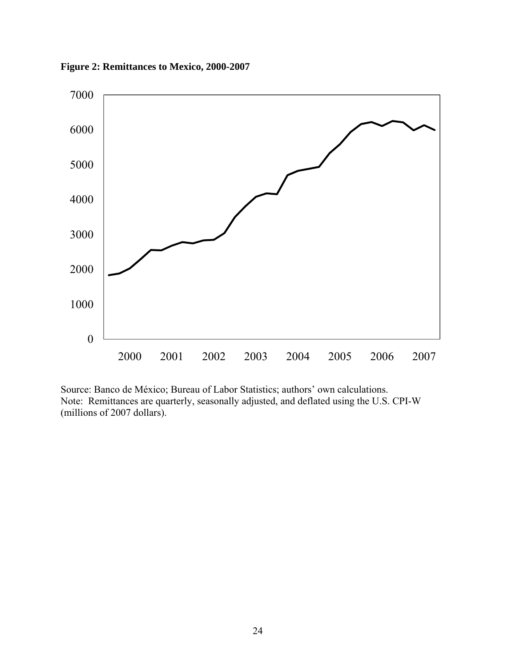**Figure 2: Remittances to Mexico, 2000-2007** 



Source: Banco de México; Bureau of Labor Statistics; authors' own calculations. Note: Remittances are quarterly, seasonally adjusted, and deflated using the U.S. CPI-W (millions of 2007 dollars).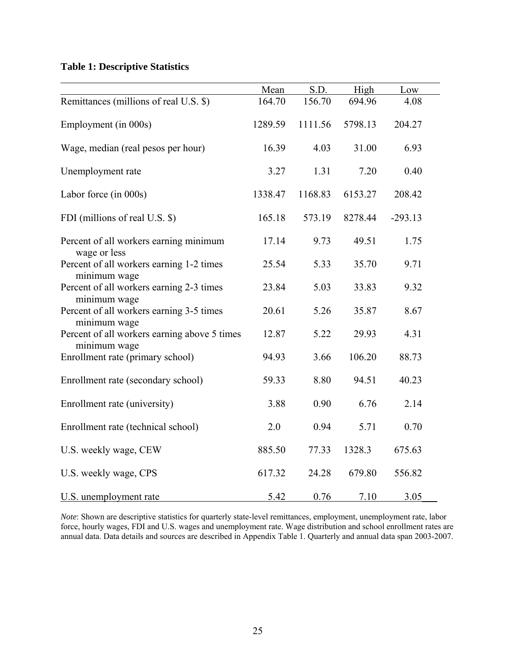# **Table 1: Descriptive Statistics**

|                                                                              | Mean    | S.D.    | High    | Low       |
|------------------------------------------------------------------------------|---------|---------|---------|-----------|
| Remittances (millions of real U.S. \$)                                       | 164.70  | 156.70  | 694.96  | 4.08      |
| Employment (in 000s)                                                         | 1289.59 | 1111.56 | 5798.13 | 204.27    |
| Wage, median (real pesos per hour)                                           | 16.39   | 4.03    | 31.00   | 6.93      |
| Unemployment rate                                                            | 3.27    | 1.31    | 7.20    | 0.40      |
| Labor force (in 000s)                                                        | 1338.47 | 1168.83 | 6153.27 | 208.42    |
| FDI (millions of real U.S. \$)                                               | 165.18  | 573.19  | 8278.44 | $-293.13$ |
| Percent of all workers earning minimum                                       | 17.14   | 9.73    | 49.51   | 1.75      |
| wage or less<br>Percent of all workers earning 1-2 times                     | 25.54   | 5.33    | 35.70   | 9.71      |
| minimum wage<br>Percent of all workers earning 2-3 times                     | 23.84   | 5.03    | 33.83   | 9.32      |
| minimum wage<br>Percent of all workers earning 3-5 times                     | 20.61   | 5.26    | 35.87   | 8.67      |
| minimum wage<br>Percent of all workers earning above 5 times<br>minimum wage | 12.87   | 5.22    | 29.93   | 4.31      |
| Enrollment rate (primary school)                                             | 94.93   | 3.66    | 106.20  | 88.73     |
| Enrollment rate (secondary school)                                           | 59.33   | 8.80    | 94.51   | 40.23     |
| Enrollment rate (university)                                                 | 3.88    | 0.90    | 6.76    | 2.14      |
| Enrollment rate (technical school)                                           | 2.0     | 0.94    | 5.71    | 0.70      |
| U.S. weekly wage, CEW                                                        | 885.50  | 77.33   | 1328.3  | 675.63    |
| U.S. weekly wage, CPS                                                        | 617.32  | 24.28   | 679.80  | 556.82    |
| U.S. unemployment rate                                                       | 5.42    | 0.76    | 7.10    | 3.05      |

*Note*: Shown are descriptive statistics for quarterly state-level remittances, employment, unemployment rate, labor force, hourly wages, FDI and U.S. wages and unemployment rate. Wage distribution and school enrollment rates are annual data. Data details and sources are described in Appendix Table 1. Quarterly and annual data span 2003-2007.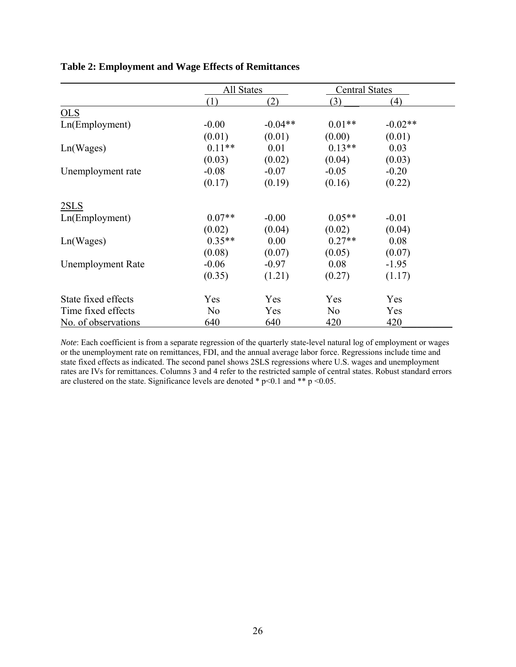|                          | All States     |           | <b>Central States</b> |           |
|--------------------------|----------------|-----------|-----------------------|-----------|
|                          | (1)            | (2)       | (3)                   | (4)       |
| OLS                      |                |           |                       |           |
| Ln(Employment)           | $-0.00$        | $-0.04**$ | $0.01**$              | $-0.02**$ |
|                          | (0.01)         | (0.01)    | (0.00)                | (0.01)    |
| Ln(Wages)                | $0.11**$       | 0.01      | $0.13**$              | 0.03      |
|                          | (0.03)         | (0.02)    | (0.04)                | (0.03)    |
| Unemployment rate        | $-0.08$        | $-0.07$   | $-0.05$               | $-0.20$   |
|                          | (0.17)         | (0.19)    | (0.16)                | (0.22)    |
| 2SLS                     |                |           |                       |           |
| Ln(Employment)           | $0.07**$       | $-0.00$   | $0.05**$              | $-0.01$   |
|                          | (0.02)         | (0.04)    | (0.02)                | (0.04)    |
| Ln(Wages)                | $0.35**$       | 0.00      | $0.27**$              | 0.08      |
|                          | (0.08)         | (0.07)    | (0.05)                | (0.07)    |
| <b>Unemployment Rate</b> | $-0.06$        | $-0.97$   | 0.08                  | $-1.95$   |
|                          | (0.35)         | (1.21)    | (0.27)                | (1.17)    |
| State fixed effects      | Yes            | Yes       | Yes                   | Yes       |
| Time fixed effects       | N <sub>o</sub> | Yes       | N <sub>0</sub>        | Yes       |
| No. of observations      | 640            | 640       | 420                   | 420       |

# **Table 2: Employment and Wage Effects of Remittances**

*Note*: Each coefficient is from a separate regression of the quarterly state-level natural log of employment or wages or the unemployment rate on remittances, FDI, and the annual average labor force. Regressions include time and state fixed effects as indicated. The second panel shows 2SLS regressions where U.S. wages and unemployment rates are IVs for remittances. Columns 3 and 4 refer to the restricted sample of central states. Robust standard errors are clustered on the state. Significance levels are denoted  $*$  p<0.1 and  $**$  p <0.05.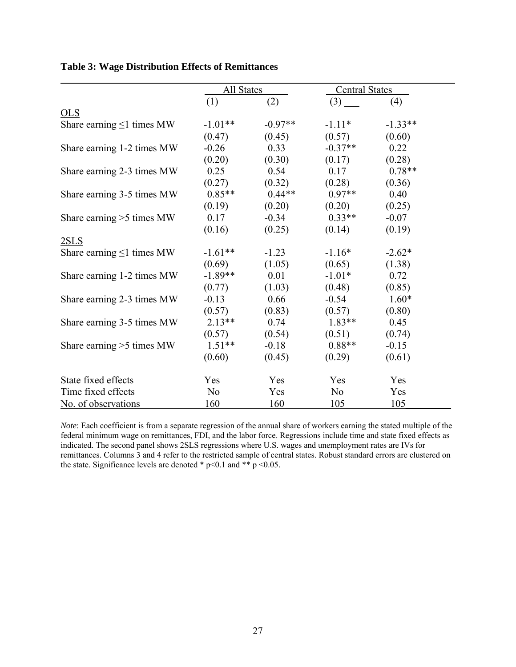|                                 | All States     |           | <b>Central States</b> |           |
|---------------------------------|----------------|-----------|-----------------------|-----------|
|                                 | (1)            | (2)       | (3)                   | (4)       |
| $OLS$                           |                |           |                       |           |
| Share earning $\leq 1$ times MW | $-1.01**$      | $-0.97**$ | $-1.11*$              | $-1.33**$ |
|                                 | (0.47)         | (0.45)    | (0.57)                | (0.60)    |
| Share earning 1-2 times MW      | $-0.26$        | 0.33      | $-0.37**$             | 0.22      |
|                                 | (0.20)         | (0.30)    | (0.17)                | (0.28)    |
| Share earning 2-3 times MW      | 0.25           | 0.54      | 0.17                  | $0.78**$  |
|                                 | (0.27)         | (0.32)    | (0.28)                | (0.36)    |
| Share earning 3-5 times MW      | $0.85**$       | $0.44**$  | $0.97**$              | 0.40      |
|                                 | (0.19)         | (0.20)    | (0.20)                | (0.25)    |
| Share earning $>5$ times MW     | 0.17           | $-0.34$   | $0.33**$              | $-0.07$   |
|                                 | (0.16)         | (0.25)    | (0.14)                | (0.19)    |
| 2SLS                            |                |           |                       |           |
| Share earning $\leq 1$ times MW | $-1.61**$      | $-1.23$   | $-1.16*$              | $-2.62*$  |
|                                 | (0.69)         | (1.05)    | (0.65)                | (1.38)    |
| Share earning 1-2 times MW      | $-1.89**$      | 0.01      | $-1.01*$              | 0.72      |
|                                 | (0.77)         | (1.03)    | (0.48)                | (0.85)    |
| Share earning 2-3 times MW      | $-0.13$        | 0.66      | $-0.54$               | $1.60*$   |
|                                 | (0.57)         | (0.83)    | (0.57)                | (0.80)    |
| Share earning 3-5 times MW      | $2.13**$       | 0.74      | $1.83**$              | 0.45      |
|                                 | (0.57)         | (0.54)    | (0.51)                | (0.74)    |
| Share earning >5 times MW       | $1.51**$       | $-0.18$   | $0.88**$              | $-0.15$   |
|                                 | (0.60)         | (0.45)    | (0.29)                | (0.61)    |
| State fixed effects             | Yes            | Yes       | Yes                   | Yes       |
| Time fixed effects              | N <sub>0</sub> | Yes       | N <sub>0</sub>        | Yes       |
| No. of observations             | 160            | 160       | 105                   | 105       |

| <b>Table 3: Wage Distribution Effects of Remittances</b> |  |  |  |  |  |  |
|----------------------------------------------------------|--|--|--|--|--|--|
|----------------------------------------------------------|--|--|--|--|--|--|

*Note*: Each coefficient is from a separate regression of the annual share of workers earning the stated multiple of the federal minimum wage on remittances, FDI, and the labor force. Regressions include time and state fixed effects as indicated. The second panel shows 2SLS regressions where U.S. wages and unemployment rates are IVs for remittances. Columns 3 and 4 refer to the restricted sample of central states. Robust standard errors are clustered on the state. Significance levels are denoted  $*$  p < 0.1 and  $*$  p < 0.05.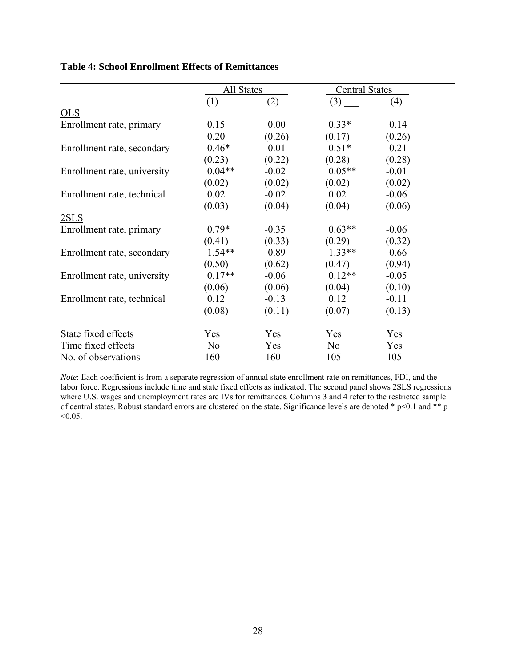|                             | All States     |         | <b>Central States</b> |         |
|-----------------------------|----------------|---------|-----------------------|---------|
|                             | (1)            | (2)     | (3)                   | (4)     |
| <b>OLS</b>                  |                |         |                       |         |
| Enrollment rate, primary    | 0.15           | 0.00    | $0.33*$               | 0.14    |
|                             | 0.20           | (0.26)  | (0.17)                | (0.26)  |
| Enrollment rate, secondary  | $0.46*$        | 0.01    | $0.51*$               | $-0.21$ |
|                             | (0.23)         | (0.22)  | (0.28)                | (0.28)  |
| Enrollment rate, university | $0.04**$       | $-0.02$ | $0.05**$              | $-0.01$ |
|                             | (0.02)         | (0.02)  | (0.02)                | (0.02)  |
| Enrollment rate, technical  | 0.02           | $-0.02$ | 0.02                  | $-0.06$ |
|                             | (0.03)         | (0.04)  | (0.04)                | (0.06)  |
| 2SLS                        |                |         |                       |         |
| Enrollment rate, primary    | $0.79*$        | $-0.35$ | $0.63**$              | $-0.06$ |
|                             | (0.41)         | (0.33)  | (0.29)                | (0.32)  |
| Enrollment rate, secondary  | $1.54**$       | 0.89    | $1.33**$              | 0.66    |
|                             | (0.50)         | (0.62)  | (0.47)                | (0.94)  |
| Enrollment rate, university | $0.17**$       | $-0.06$ | $0.12**$              | $-0.05$ |
|                             | (0.06)         | (0.06)  | (0.04)                | (0.10)  |
| Enrollment rate, technical  | 0.12           | $-0.13$ | 0.12                  | $-0.11$ |
|                             | (0.08)         | (0.11)  | (0.07)                | (0.13)  |
| State fixed effects         | Yes            | Yes     | Yes                   | Yes     |
| Time fixed effects          | N <sub>0</sub> | Yes     | N <sub>0</sub>        | Yes     |
| No. of observations         | 160            | 160     | 105                   | 105     |

# **Table 4: School Enrollment Effects of Remittances**

*Note*: Each coefficient is from a separate regression of annual state enrollment rate on remittances, FDI, and the labor force. Regressions include time and state fixed effects as indicated. The second panel shows 2SLS regressions where U.S. wages and unemployment rates are IVs for remittances. Columns 3 and 4 refer to the restricted sample of central states. Robust standard errors are clustered on the state. Significance levels are denoted \* p<0.1 and \*\* p  $< 0.05$ .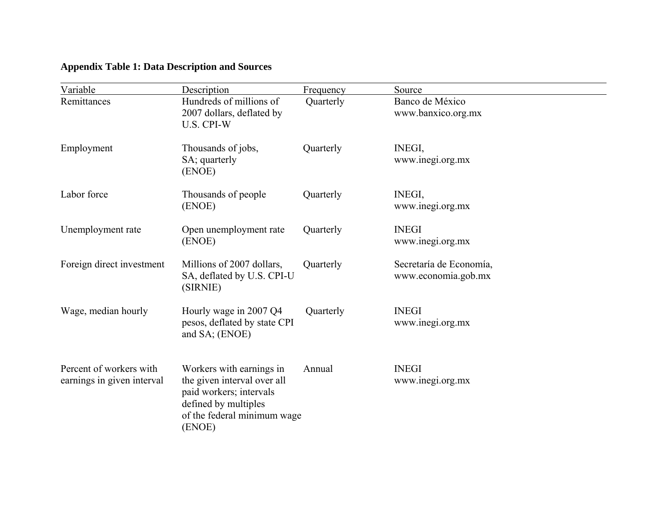# **Appendix Table 1: Data Description and Sources**

| Variable                                              | Description                                                                                                                                         | Frequency | Source                                         |
|-------------------------------------------------------|-----------------------------------------------------------------------------------------------------------------------------------------------------|-----------|------------------------------------------------|
| Remittances                                           | Hundreds of millions of<br>2007 dollars, deflated by<br>U.S. CPI-W                                                                                  | Quarterly | Banco de México<br>www.banxico.org.mx          |
| Employment                                            | Thousands of jobs,<br>SA; quarterly<br>(ENOE)                                                                                                       | Quarterly | <b>INEGI,</b><br>www.inegi.org.mx              |
| Labor force                                           | Thousands of people<br>(ENOE)                                                                                                                       | Quarterly | <b>INEGI,</b><br>www.inegi.org.mx              |
| Unemployment rate                                     | Open unemployment rate<br>(ENOE)                                                                                                                    | Quarterly | <b>INEGI</b><br>www.inegi.org.mx               |
| Foreign direct investment                             | Millions of 2007 dollars,<br>SA, deflated by U.S. CPI-U<br>(SIRNIE)                                                                                 | Quarterly | Secretaría de Economía,<br>www.economia.gob.mx |
| Wage, median hourly                                   | Hourly wage in 2007 Q4<br>pesos, deflated by state CPI<br>and SA; (ENOE)                                                                            | Quarterly | <b>INEGI</b><br>www.inegi.org.mx               |
| Percent of workers with<br>earnings in given interval | Workers with earnings in<br>the given interval over all<br>paid workers; intervals<br>defined by multiples<br>of the federal minimum wage<br>(ENOE) | Annual    | <b>INEGI</b><br>www.inegi.org.mx               |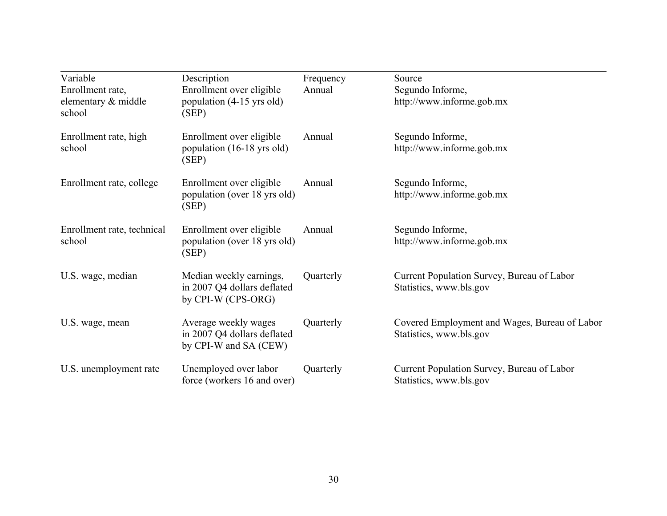| Variable                                          | Description                                                                  | Frequency | Source                                                                   |
|---------------------------------------------------|------------------------------------------------------------------------------|-----------|--------------------------------------------------------------------------|
| Enrollment rate,<br>elementary & middle<br>school | Enrollment over eligible<br>population (4-15 yrs old)<br>(SEP)               | Annual    | Segundo Informe,<br>http://www.informe.gob.mx                            |
| Enrollment rate, high<br>school                   | Enrollment over eligible<br>population (16-18 yrs old)<br>(SEP)              | Annual    | Segundo Informe,<br>http://www.informe.gob.mx                            |
| Enrollment rate, college                          | Enrollment over eligible<br>population (over 18 yrs old)<br>(SEP)            | Annual    | Segundo Informe,<br>http://www.informe.gob.mx                            |
| Enrollment rate, technical<br>school              | Enrollment over eligible<br>population (over 18 yrs old)<br>(SEP)            | Annual    | Segundo Informe,<br>http://www.informe.gob.mx                            |
| U.S. wage, median                                 | Median weekly earnings,<br>in 2007 Q4 dollars deflated<br>by CPI-W (CPS-ORG) | Quarterly | Current Population Survey, Bureau of Labor<br>Statistics, www.bls.gov    |
| U.S. wage, mean                                   | Average weekly wages<br>in 2007 Q4 dollars deflated<br>by CPI-W and SA (CEW) | Quarterly | Covered Employment and Wages, Bureau of Labor<br>Statistics, www.bls.gov |
| U.S. unemployment rate                            | Unemployed over labor<br>force (workers 16 and over)                         | Quarterly | Current Population Survey, Bureau of Labor<br>Statistics, www.bls.gov    |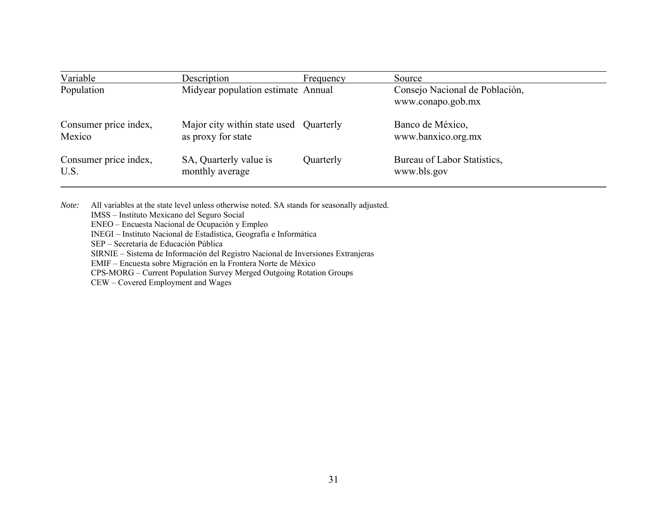| Variable              | Description                            | Frequency | Source                                              |
|-----------------------|----------------------------------------|-----------|-----------------------------------------------------|
| Population            | Midyear population estimate Annual     |           | Consejo Nacional de Población,<br>www.conapo.gob.mx |
| Consumer price index, | Major city within state used Quarterly |           | Banco de México,                                    |
| Mexico                | as proxy for state                     |           | www.banxico.org.mx                                  |
| Consumer price index, | SA, Quarterly value is                 | Quarterly | Bureau of Labor Statistics,                         |
| U.S.                  | monthly average                        |           | www.bls.gov                                         |

*Note:* All variables at the state level unless otherwise noted. SA stands for seasonally adjusted. IMSS – Instituto Mexicano del Seguro Social ENEO – Encuesta Nacional de Ocupación y Empleo INEGI – Instituto Nacional de Estadística, Geografía e Informática SEP – Secretaría de Educación Pública SIRNIE – Sistema de Información del Registro Nacional de Inversiones Extranjeras EMIF – Encuesta sobre Migración en la Frontera Norte de México CPS-MORG – Current Population Survey Merged Outgoing Rotation Groups

CEW – Covered Employment and Wages